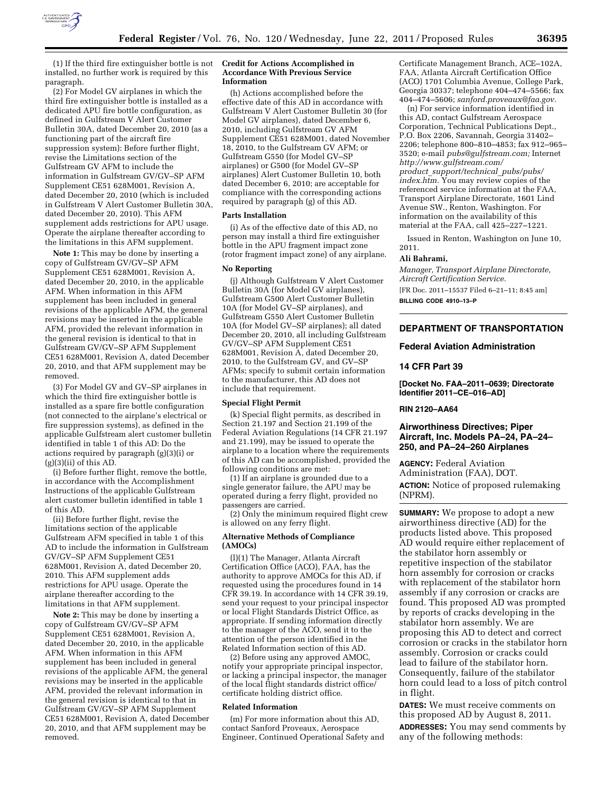

(1) If the third fire extinguisher bottle is not installed, no further work is required by this paragraph.

(2) For Model GV airplanes in which the third fire extinguisher bottle is installed as a dedicated APU fire bottle configuration, as defined in Gulfstream V Alert Customer Bulletin 30A, dated December 20, 2010 (as a functioning part of the aircraft fire suppression system): Before further flight, revise the Limitations section of the Gulfstream GV AFM to include the information in Gulfstream GV/GV–SP AFM Supplement CE51 628M001, Revision A, dated December 20, 2010 (which is included in Gulfstream V Alert Customer Bulletin 30A, dated December 20, 2010). This AFM supplement adds restrictions for APU usage. Operate the airplane thereafter according to the limitations in this AFM supplement.

**Note 1:** This may be done by inserting a copy of Gulfstream GV/GV–SP AFM Supplement CE51 628M001, Revision A, dated December 20, 2010, in the applicable AFM. When information in this AFM supplement has been included in general revisions of the applicable AFM, the general revisions may be inserted in the applicable AFM, provided the relevant information in the general revision is identical to that in Gulfstream GV/GV–SP AFM Supplement CE51 628M001, Revision A, dated December 20, 2010, and that AFM supplement may be removed.

(3) For Model GV and GV–SP airplanes in which the third fire extinguisher bottle is installed as a spare fire bottle configuration (not connected to the airplane's electrical or fire suppression systems), as defined in the applicable Gulfstream alert customer bulletin identified in table 1 of this AD: Do the actions required by paragraph (g)(3)(i) or  $(g)(3)(ii)$  of this AD.

(i) Before further flight, remove the bottle, in accordance with the Accomplishment Instructions of the applicable Gulfstream alert customer bulletin identified in table 1 of this AD.

(ii) Before further flight, revise the limitations section of the applicable Gulfstream AFM specified in table 1 of this AD to include the information in Gulfstream GV/GV–SP AFM Supplement CE51 628M001, Revision A, dated December 20, 2010. This AFM supplement adds restrictions for APU usage. Operate the airplane thereafter according to the limitations in that AFM supplement.

**Note 2:** This may be done by inserting a copy of Gulfstream GV/GV–SP AFM Supplement CE51 628M001, Revision A, dated December 20, 2010, in the applicable AFM. When information in this AFM supplement has been included in general revisions of the applicable AFM, the general revisions may be inserted in the applicable AFM, provided the relevant information in the general revision is identical to that in Gulfstream GV/GV–SP AFM Supplement CE51 628M001, Revision A, dated December 20, 2010, and that AFM supplement may be removed.

#### **Credit for Actions Accomplished in Accordance With Previous Service Information**

(h) Actions accomplished before the effective date of this AD in accordance with Gulfstream V Alert Customer Bulletin 30 (for Model GV airplanes), dated December 6, 2010, including Gulfstream GV AFM Supplement CE51 628M001, dated November 18, 2010, to the Gulfstream GV AFM; or Gulfstream G550 (for Model GV–SP airplanes) or G500 (for Model GV–SP airplanes) Alert Customer Bulletin 10, both dated December 6, 2010; are acceptable for compliance with the corresponding actions required by paragraph (g) of this AD.

#### **Parts Installation**

(i) As of the effective date of this AD, no person may install a third fire extinguisher bottle in the APU fragment impact zone (rotor fragment impact zone) of any airplane.

## **No Reporting**

(j) Although Gulfstream V Alert Customer Bulletin 30A (for Model GV airplanes), Gulfstream G500 Alert Customer Bulletin 10A (for Model GV–SP airplanes), and Gulfstream G550 Alert Customer Bulletin 10A (for Model GV–SP airplanes); all dated December 20, 2010, all including Gulfstream GV/GV–SP AFM Supplement CE51 628M001, Revision A, dated December 20, 2010, to the Gulfstream GV, and GV–SP AFMs; specify to submit certain information to the manufacturer, this AD does not include that requirement.

#### **Special Flight Permit**

(k) Special flight permits, as described in Section 21.197 and Section 21.199 of the Federal Aviation Regulations (14 CFR 21.197 and 21.199), may be issued to operate the airplane to a location where the requirements of this AD can be accomplished, provided the following conditions are met:

(1) If an airplane is grounded due to a single generator failure, the APU may be operated during a ferry flight, provided no passengers are carried.

(2) Only the minimum required flight crew is allowed on any ferry flight.

#### **Alternative Methods of Compliance (AMOCs)**

(l)(1) The Manager, Atlanta Aircraft Certification Office (ACO), FAA, has the authority to approve AMOCs for this AD, if requested using the procedures found in 14 CFR 39.19. In accordance with 14 CFR 39.19, send your request to your principal inspector or local Flight Standards District Office, as appropriate. If sending information directly to the manager of the ACO, send it to the attention of the person identified in the Related Information section of this AD.

(2) Before using any approved AMOC, notify your appropriate principal inspector, or lacking a principal inspector, the manager of the local flight standards district office/ certificate holding district office.

#### **Related Information**

(m) For more information about this AD, contact Sanford Proveaux, Aerospace Engineer, Continued Operational Safety and

Certificate Management Branch, ACE–102A, FAA, Atlanta Aircraft Certification Office (ACO) 1701 Columbia Avenue, College Park, Georgia 30337; telephone 404–474–5566; fax 404–474–5606; *[sanford.proveaux@faa.gov.](mailto:sanford.proveaux@faa.gov)* 

(n) For service information identified in this AD, contact Gulfstream Aerospace Corporation, Technical Publications Dept., P.O. Box 2206, Savannah, Georgia 31402– 2206; telephone 800–810–4853; fax 912–965– 3520; e-mail *[pubs@gulfstream.com;](mailto:pubs@gulfstream.com)* Internet *[http://www.gulfstream.com/](http://www.gulfstream.com/product_support/technical_pubs/pubs/index.htm)  product*\_*[support/technical](http://www.gulfstream.com/product_support/technical_pubs/pubs/index.htm)*\_*pubs/pubs/ [index.htm.](http://www.gulfstream.com/product_support/technical_pubs/pubs/index.htm)* You may review copies of the referenced service information at the FAA, Transport Airplane Directorate, 1601 Lind Avenue SW., Renton, Washington. For information on the availability of this material at the FAA, call 425–227–1221.

Issued in Renton, Washington on June 10, 2011.

#### **Ali Bahrami,**

*Manager, Transport Airplane Directorate, Aircraft Certification Service.*  [FR Doc. 2011–15537 Filed 6–21–11; 8:45 am] **BILLING CODE 4910–13–P** 

# **DEPARTMENT OF TRANSPORTATION**

# **Federal Aviation Administration**

#### **14 CFR Part 39**

**[Docket No. FAA–2011–0639; Directorate Identifier 2011–CE–016–AD]** 

#### **RIN 2120–AA64**

## **Airworthiness Directives; Piper Aircraft, Inc. Models PA–24, PA–24– 250, and PA–24–260 Airplanes**

**AGENCY:** Federal Aviation Administration (FAA), DOT. **ACTION:** Notice of proposed rulemaking (NPRM).

**SUMMARY:** We propose to adopt a new airworthiness directive (AD) for the products listed above. This proposed AD would require either replacement of the stabilator horn assembly or repetitive inspection of the stabilator horn assembly for corrosion or cracks with replacement of the stabilator horn assembly if any corrosion or cracks are found. This proposed AD was prompted by reports of cracks developing in the stabilator horn assembly. We are proposing this AD to detect and correct corrosion or cracks in the stabilator horn assembly. Corrosion or cracks could lead to failure of the stabilator horn. Consequently, failure of the stabilator horn could lead to a loss of pitch control in flight.

**DATES:** We must receive comments on this proposed AD by August 8, 2011.

**ADDRESSES:** You may send comments by any of the following methods: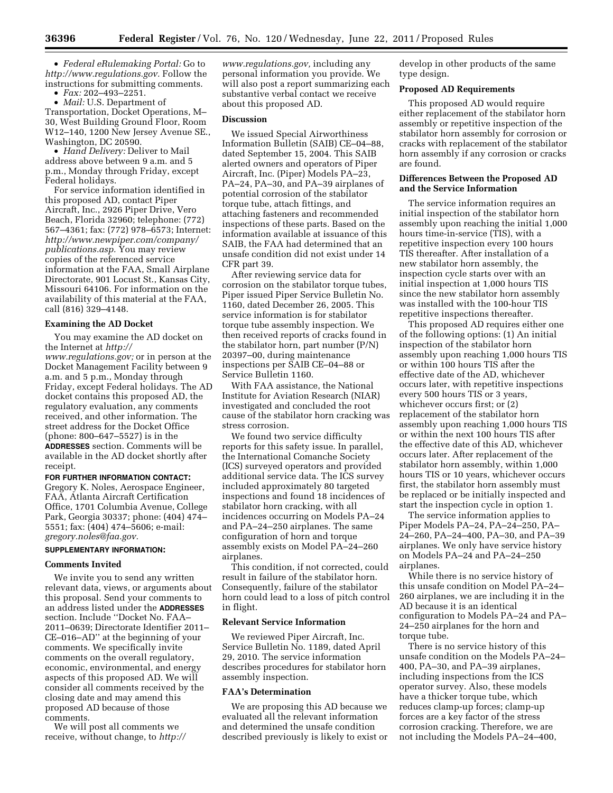• *Federal eRulemaking Portal:* Go to *[http://www.regulations.gov.](http://www.regulations.gov)* Follow the instructions for submitting comments.

• *Fax:* 202–493–2251.

• *Mail:* U.S. Department of Transportation, Docket Operations, M– 30, West Building Ground Floor, Room W12–140, 1200 New Jersey Avenue SE., Washington, DC 20590.

• *Hand Delivery:* Deliver to Mail address above between 9 a.m. and 5 p.m., Monday through Friday, except Federal holidays.

For service information identified in this proposed AD, contact Piper Aircraft, Inc., 2926 Piper Drive, Vero Beach, Florida 32960; telephone: (772) 567–4361; fax: (772) 978–6573; Internet: *[http://www.newpiper.com/company/](http://www.newpiper.com/company/publications.asp) [publications.asp.](http://www.newpiper.com/company/publications.asp)* You may review copies of the referenced service information at the FAA, Small Airplane Directorate, 901 Locust St., Kansas City, Missouri 64106. For information on the availability of this material at the FAA, call (816) 329–4148.

# **Examining the AD Docket**

You may examine the AD docket on the Internet at *[http://](http://www.regulations.gov)  [www.regulations.gov;](http://www.regulations.gov)* or in person at the Docket Management Facility between 9 a.m. and 5 p.m., Monday through Friday, except Federal holidays. The AD docket contains this proposed AD, the regulatory evaluation, any comments received, and other information. The street address for the Docket Office (phone: 800–647–5527) is in the **ADDRESSES** section. Comments will be available in the AD docket shortly after receipt.

## **FOR FURTHER INFORMATION CONTACT:**

Gregory K. Noles, Aerospace Engineer, FAA, Atlanta Aircraft Certification Office, 1701 Columbia Avenue, College Park, Georgia 30337; phone: (404) 474– 5551; fax: (404) 474–5606; e-mail: *[gregory.noles@faa.gov.](mailto:gregory.noles@faa.gov)* 

# **SUPPLEMENTARY INFORMATION:**

## **Comments Invited**

We invite you to send any written relevant data, views, or arguments about this proposal. Send your comments to an address listed under the **ADDRESSES** section. Include ''Docket No. FAA– 2011–0639; Directorate Identifier 2011– CE–016–AD'' at the beginning of your comments. We specifically invite comments on the overall regulatory, economic, environmental, and energy aspects of this proposed AD. We will consider all comments received by the closing date and may amend this proposed AD because of those comments.

We will post all comments we receive, without change, to *[http://](http://www.regulations.gov)*  *[www.regulations.gov,](http://www.regulations.gov)* including any personal information you provide. We will also post a report summarizing each substantive verbal contact we receive about this proposed AD.

## **Discussion**

We issued Special Airworthiness Information Bulletin (SAIB) CE–04–88, dated September 15, 2004. This SAIB alerted owners and operators of Piper Aircraft, Inc. (Piper) Models PA–23, PA–24, PA–30, and PA–39 airplanes of potential corrosion of the stabilator torque tube, attach fittings, and attaching fasteners and recommended inspections of these parts. Based on the information available at issuance of this SAIB, the FAA had determined that an unsafe condition did not exist under 14 CFR part 39.

After reviewing service data for corrosion on the stabilator torque tubes, Piper issued Piper Service Bulletin No. 1160, dated December 26, 2005. This service information is for stabilator torque tube assembly inspection. We then received reports of cracks found in the stabilator horn, part number (P/N) 20397–00, during maintenance inspections per SAIB CE–04–88 or Service Bulletin 1160.

With FAA assistance, the National Institute for Aviation Research (NIAR) investigated and concluded the root cause of the stabilator horn cracking was stress corrosion.

We found two service difficulty reports for this safety issue. In parallel, the International Comanche Society (ICS) surveyed operators and provided additional service data. The ICS survey included approximately 80 targeted inspections and found 18 incidences of stabilator horn cracking, with all incidences occurring on Models PA–24 and PA–24–250 airplanes. The same configuration of horn and torque assembly exists on Model PA–24–260 airplanes.

This condition, if not corrected, could result in failure of the stabilator horn. Consequently, failure of the stabilator horn could lead to a loss of pitch control in flight.

## **Relevant Service Information**

We reviewed Piper Aircraft, Inc. Service Bulletin No. 1189, dated April 29, 2010. The service information describes procedures for stabilator horn assembly inspection.

#### **FAA's Determination**

We are proposing this AD because we evaluated all the relevant information and determined the unsafe condition described previously is likely to exist or develop in other products of the same type design.

## **Proposed AD Requirements**

This proposed AD would require either replacement of the stabilator horn assembly or repetitive inspection of the stabilator horn assembly for corrosion or cracks with replacement of the stabilator horn assembly if any corrosion or cracks are found.

### **Differences Between the Proposed AD and the Service Information**

The service information requires an initial inspection of the stabilator horn assembly upon reaching the initial 1,000 hours time-in-service (TIS), with a repetitive inspection every 100 hours TIS thereafter. After installation of a new stabilator horn assembly, the inspection cycle starts over with an initial inspection at 1,000 hours TIS since the new stabilator horn assembly was installed with the 100-hour TIS repetitive inspections thereafter.

This proposed AD requires either one of the following options: (1) An initial inspection of the stabilator horn assembly upon reaching 1,000 hours TIS or within 100 hours TIS after the effective date of the AD, whichever occurs later, with repetitive inspections every 500 hours TIS or 3 years, whichever occurs first; or (2) replacement of the stabilator horn assembly upon reaching 1,000 hours TIS or within the next 100 hours TIS after the effective date of this AD, whichever occurs later. After replacement of the stabilator horn assembly, within 1,000 hours TIS or 10 years, whichever occurs first, the stabilator horn assembly must be replaced or be initially inspected and start the inspection cycle in option 1.

The service information applies to Piper Models PA–24, PA–24–250, PA– 24–260, PA–24–400, PA–30, and PA–39 airplanes. We only have service history on Models PA–24 and PA–24–250 airplanes.

While there is no service history of this unsafe condition on Model PA–24– 260 airplanes, we are including it in the AD because it is an identical configuration to Models PA–24 and PA– 24–250 airplanes for the horn and torque tube.

There is no service history of this unsafe condition on the Models PA–24– 400, PA–30, and PA–39 airplanes, including inspections from the ICS operator survey. Also, these models have a thicker torque tube, which reduces clamp-up forces; clamp-up forces are a key factor of the stress corrosion cracking. Therefore, we are not including the Models PA–24–400,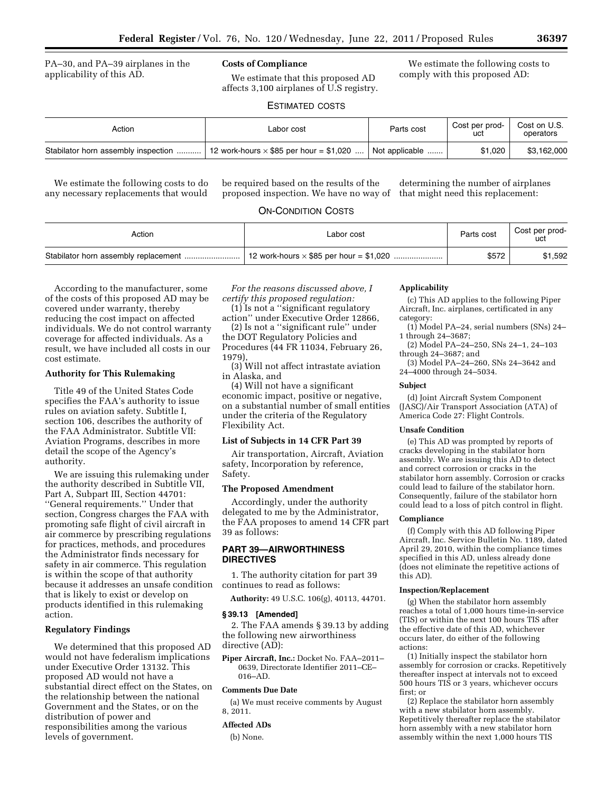PA–30, and PA–39 airplanes in the applicability of this AD.

# **Costs of Compliance**

We estimate that this proposed AD affects 3,100 airplanes of U.S registry.

We estimate the following costs to comply with this proposed AD:

# ESTIMATED COSTS

| Action                              | Labor cost                                     | Parts cost     | Cost per prod-<br>uct | Cost on U.S.<br>operators |
|-------------------------------------|------------------------------------------------|----------------|-----------------------|---------------------------|
| Stabilator horn assembly inspection | 12 work-hours $\times$ \$85 per hour = \$1,020 | Not applicable | \$1.020               | \$3.162,000               |

We estimate the following costs to do any necessary replacements that would be required based on the results of the proposed inspection. We have no way of that might need this replacement:

determining the number of airplanes

# ON-CONDITION COSTS

| Action | Labor cost | Parts cost | Cost per prod-<br>uct |
|--------|------------|------------|-----------------------|
|        |            | \$572      | \$1,592               |

According to the manufacturer, some of the costs of this proposed AD may be covered under warranty, thereby reducing the cost impact on affected individuals. We do not control warranty coverage for affected individuals. As a result, we have included all costs in our cost estimate.

### **Authority for This Rulemaking**

Title 49 of the United States Code specifies the FAA's authority to issue rules on aviation safety. Subtitle I, section 106, describes the authority of the FAA Administrator. Subtitle VII: Aviation Programs, describes in more detail the scope of the Agency's authority.

We are issuing this rulemaking under the authority described in Subtitle VII, Part A, Subpart III, Section 44701: ''General requirements.'' Under that section, Congress charges the FAA with promoting safe flight of civil aircraft in air commerce by prescribing regulations for practices, methods, and procedures the Administrator finds necessary for safety in air commerce. This regulation is within the scope of that authority because it addresses an unsafe condition continues to read as follows: that is likely to exist or develop on products identified in this rulemaking action.

## **Regulatory Findings**

We determined that this proposed AD would not have federalism implications under Executive Order 13132. This proposed AD would not have a substantial direct effect on the States, on the relationship between the national Government and the States, or on the distribution of power and responsibilities among the various levels of government.

*For the reasons discussed above, I certify this proposed regulation:* 

(1) Is not a ''significant regulatory action'' under Executive Order 12866,

(2) Is not a ''significant rule'' under the DOT Regulatory Policies and Procedures (44 FR 11034, February 26, 1979),

(3) Will not affect intrastate aviation in Alaska, and

(4) Will not have a significant economic impact, positive or negative, on a substantial number of small entities under the criteria of the Regulatory Flexibility Act.

#### **List of Subjects in 14 CFR Part 39**

Air transportation, Aircraft, Aviation safety, Incorporation by reference, Safety.

## **The Proposed Amendment**

Accordingly, under the authority delegated to me by the Administrator, the FAA proposes to amend 14 CFR part 39 as follows:

# **PART 39—AIRWORTHINESS DIRECTIVES**

1. The authority citation for part 39

**Authority:** 49 U.S.C. 106(g), 40113, 44701.

# **§ 39.13 [Amended]**

2. The FAA amends § 39.13 by adding the following new airworthiness directive (AD):

**Piper Aircraft, Inc.:** Docket No. FAA–2011– 0639, Directorate Identifier 2011–CE– 016–AD.

#### **Comments Due Date**

(a) We must receive comments by August 8, 2011.

#### **Affected ADs**

(b) None.

#### **Applicability**

(c) This AD applies to the following Piper Aircraft, Inc. airplanes, certificated in any category:

(1) Model PA–24, serial numbers (SNs) 24– 1 through 24–3687;

(2) Model PA–24–250, SNs 24–1, 24–103 through 24–3687; and

(3) Model PA–24–260, SNs 24–3642 and 24–4000 through 24–5034.

#### **Subject**

(d) Joint Aircraft System Component (JASC)/Air Transport Association (ATA) of America Code 27: Flight Controls.

#### **Unsafe Condition**

(e) This AD was prompted by reports of cracks developing in the stabilator horn assembly. We are issuing this AD to detect and correct corrosion or cracks in the stabilator horn assembly. Corrosion or cracks could lead to failure of the stabilator horn. Consequently, failure of the stabilator horn could lead to a loss of pitch control in flight.

#### **Compliance**

(f) Comply with this AD following Piper Aircraft, Inc. Service Bulletin No. 1189, dated April 29, 2010, within the compliance times specified in this AD, unless already done (does not eliminate the repetitive actions of this AD).

# **Inspection/Replacement**

(g) When the stabilator horn assembly reaches a total of 1,000 hours time-in-service (TIS) or within the next 100 hours TIS after the effective date of this AD, whichever occurs later, do either of the following actions:

(1) Initially inspect the stabilator horn assembly for corrosion or cracks. Repetitively thereafter inspect at intervals not to exceed 500 hours TIS or 3 years, whichever occurs first; or

(2) Replace the stabilator horn assembly with a new stabilator horn assembly. Repetitively thereafter replace the stabilator horn assembly with a new stabilator horn assembly within the next 1,000 hours TIS